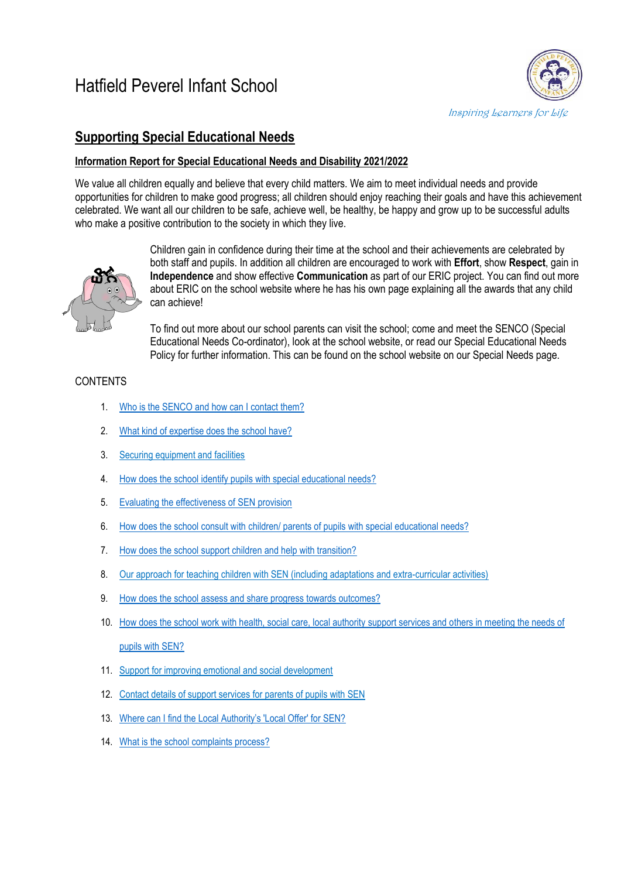# Hatfield Peverel Infant School



## **Supporting Special Educational Needs**

### **Information Report for Special Educational Needs and Disability 2021/2022**

We value all children equally and believe that every child matters. We aim to meet individual needs and provide opportunities for children to make good progress; all children should enjoy reaching their goals and have this achievement celebrated. We want all our children to be safe, achieve well, be healthy, be happy and grow up to be successful adults who make a positive contribution to the society in which they live.



Children gain in confidence during their time at the school and their achievements are celebrated by both staff and pupils. In addition all children are encouraged to work with **Effort**, show **Respect**, gain in **Independence** and show effective **Communication** as part of our ERIC project. You can find out more about ERIC on the school website where he has his own page explaining all the awards that any child can achieve!

To find out more about our school parents can visit the school; come and meet the SENCO (Special Educational Needs Co-ordinator), look at the school website, or read our Special Educational Needs Policy for further information. This can be found on the school website on our Special Needs page.

## **CONTENTS**

- 1. Who is the SENCO and [how can I contact them?](#page-1-0)
- 2. [What kind of expertise does the school have?](#page-1-1)
- 3. Securing equipment and facilities
- 4. [How does the school identify pupils with special educational needs?](#page-2-0)
- 5. Evaluating the effectiveness of SEN provision
- 6. How does the school consult with children/ [parents of pupils with special educational needs?](#page-2-1)
- 7. [How does the school support children and help with transition?](#page-3-0)
- 8. Our approach for teaching children with SEN (including adaptations and extra-curricular activities)
- 9. [How does the school assess and share progress](#page-4-0) towards outcomes?
- 10. [How does the school work with health, social care, local authority support services and others in meeting the needs of](#page-4-1)  [pupils with SEN?](#page-4-1)
- 11. Support for improving emotional and social development
- 12. Contact details of support services for parents of pupils with SEN
- 13. [Where can I find the Local Authority's 'Local Offer' for SEN?](#page-5-0)
- 14. [What is the school complaints process?](#page-5-1)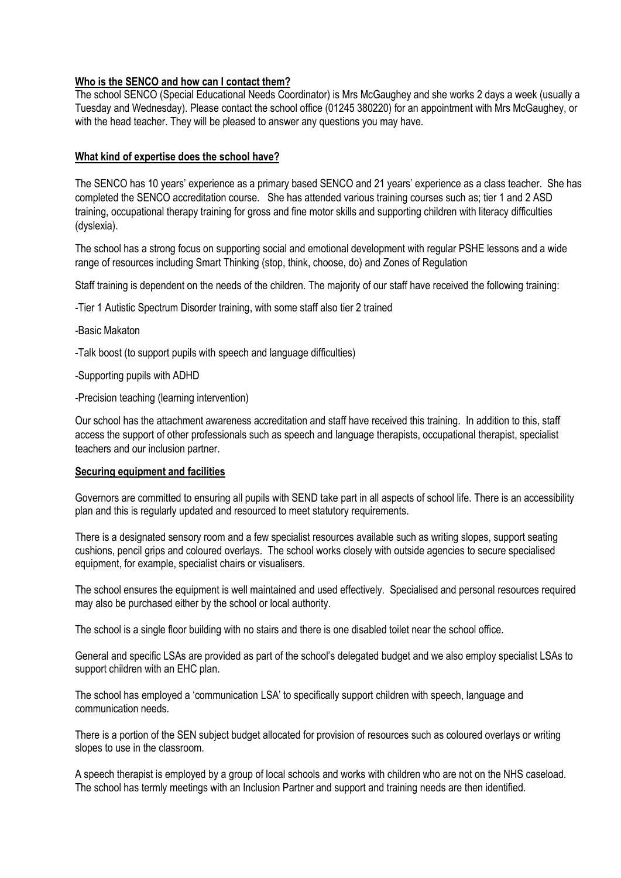#### <span id="page-1-0"></span>**Who is the SENCO and how can I contact them?**

The school SENCO (Special Educational Needs Coordinator) is Mrs McGaughey and she works 2 days a week (usually a Tuesday and Wednesday). Please contact the school office (01245 380220) for an appointment with Mrs McGaughey, or with the head teacher. They will be pleased to answer any questions you may have.

#### <span id="page-1-1"></span>**What kind of expertise does the school have?**

The SENCO has 10 years' experience as a primary based SENCO and 21 years' experience as a class teacher. She has completed the SENCO accreditation course. She has attended various training courses such as; tier 1 and 2 ASD training, occupational therapy training for gross and fine motor skills and supporting children with literacy difficulties (dyslexia).

The school has a strong focus on supporting social and emotional development with regular PSHE lessons and a wide range of resources including Smart Thinking (stop, think, choose, do) and Zones of Regulation

Staff training is dependent on the needs of the children. The majority of our staff have received the following training:

-Tier 1 Autistic Spectrum Disorder training, with some staff also tier 2 trained

- -Basic Makaton
- -Talk boost (to support pupils with speech and language difficulties)
- -Supporting pupils with ADHD
- -Precision teaching (learning intervention)

Our school has the attachment awareness accreditation and staff have received this training. In addition to this, staff access the support of other professionals such as speech and language therapists, occupational therapist, specialist teachers and our inclusion partner.

#### **Securing equipment and facilities**

Governors are committed to ensuring all pupils with SEND take part in all aspects of school life. There is an accessibility plan and this is regularly updated and resourced to meet statutory requirements.

There is a designated sensory room and a few specialist resources available such as writing slopes, support seating cushions, pencil grips and coloured overlays. The school works closely with outside agencies to secure specialised equipment, for example, specialist chairs or visualisers.

The school ensures the equipment is well maintained and used effectively. Specialised and personal resources required may also be purchased either by the school or local authority.

The school is a single floor building with no stairs and there is one disabled toilet near the school office.

General and specific LSAs are provided as part of the school's delegated budget and we also employ specialist LSAs to support children with an EHC plan.

The school has employed a 'communication LSA' to specifically support children with speech, language and communication needs.

There is a portion of the SEN subject budget allocated for provision of resources such as coloured overlays or writing slopes to use in the classroom.

A speech therapist is employed by a group of local schools and works with children who are not on the NHS caseload. The school has termly meetings with an Inclusion Partner and support and training needs are then identified.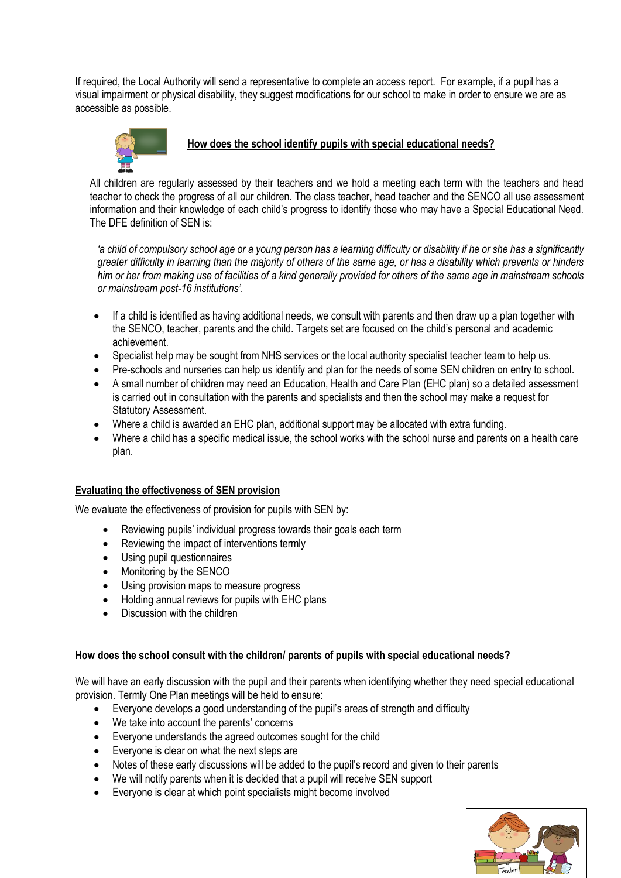If required, the Local Authority will send a representative to complete an access report. For example, if a pupil has a visual impairment or physical disability, they suggest modifications for our school to make in order to ensure we are as accessible as possible.



## <span id="page-2-0"></span>**How does the school identify pupils with special educational needs?**

All children are regularly assessed by their teachers and we hold a meeting each term with the teachers and head teacher to check the progress of all our children. The class teacher, head teacher and the SENCO all use assessment information and their knowledge of each child's progress to identify those who may have a Special Educational Need. The DFE definition of SEN is:

*'a child of compulsory school age or a young person has a learning difficulty or disability if he or she has a significantly greater difficulty in learning than the majority of others of the same age, or has a disability which prevents or hinders him or her from making use of facilities of a kind generally provided for others of the same age in mainstream schools or mainstream post-16 institutions'.*

- If a child is identified as having additional needs, we consult with parents and then draw up a plan together with the SENCO, teacher, parents and the child. Targets set are focused on the child's personal and academic achievement.
- Specialist help may be sought from NHS services or the local authority specialist teacher team to help us.
- Pre-schools and nurseries can help us identify and plan for the needs of some SEN children on entry to school.
- A small number of children may need an Education, Health and Care Plan (EHC plan) so a detailed assessment is carried out in consultation with the parents and specialists and then the school may make a request for Statutory Assessment.
- Where a child is awarded an EHC plan, additional support may be allocated with extra funding.
- Where a child has a specific medical issue, the school works with the school nurse and parents on a health care plan.

#### **Evaluating the effectiveness of SEN provision**

We evaluate the effectiveness of provision for pupils with SEN by:

- Reviewing pupils' individual progress towards their goals each term
- Reviewing the impact of interventions termly
- Using pupil questionnaires
- Monitoring by the SENCO
- Using provision maps to measure progress
- Holding annual reviews for pupils with EHC plans
- Discussion with the children

#### <span id="page-2-1"></span>**How does the school consult with the children/ parents of pupils with special educational needs?**

We will have an early discussion with the pupil and their parents when identifying whether they need special educational provision. Termly One Plan meetings will be held to ensure:

- Everyone develops a good understanding of the pupil's areas of strength and difficulty
- We take into account the parents' concerns
- Everyone understands the agreed outcomes sought for the child
- Everyone is clear on what the next steps are
- Notes of these early discussions will be added to the pupil's record and given to their parents
- We will notify parents when it is decided that a pupil will receive SEN support
- Everyone is clear at which point specialists might become involved

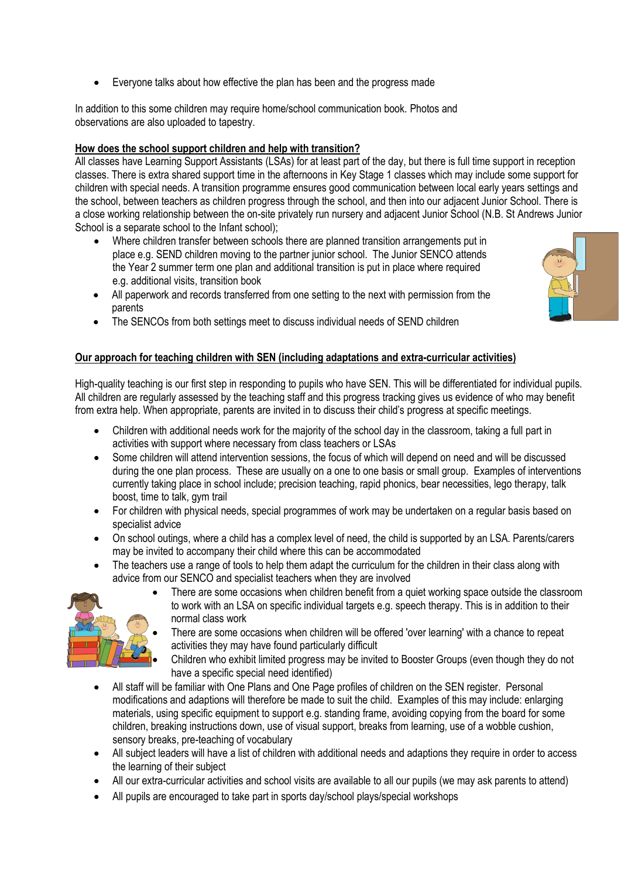Everyone talks about how effective the plan has been and the progress made

In addition to this some children may require home/school communication book. Photos and observations are also uploaded to tapestry.

## <span id="page-3-0"></span>**How does the school support children and help with transition?**

All classes have Learning Support Assistants (LSAs) for at least part of the day, but there is full time support in reception classes. There is extra shared support time in the afternoons in Key Stage 1 classes which may include some support for children with special needs. A transition programme ensures good communication between local early years settings and the school, between teachers as children progress through the school, and then into our adjacent Junior School. There is a close working relationship between the on-site privately run nursery and adjacent Junior School (N.B. St Andrews Junior School is a separate school to the Infant school);

- Where children transfer between schools there are planned transition arrangements put in place e.g. SEND children moving to the partner junior school. The Junior SENCO attends the Year 2 summer term one plan and additional transition is put in place where required e.g. additional visits, transition book
- All paperwork and records transferred from one setting to the next with permission from the parents
- The SENCOs from both settings meet to discuss individual needs of SEND children

#### **Our approach for teaching children with SEN (including adaptations and extra-curricular activities)**

High-quality teaching is our first step in responding to pupils who have SEN. This will be differentiated for individual pupils. All children are regularly assessed by the teaching staff and this progress tracking gives us evidence of who may benefit from extra help. When appropriate, parents are invited in to discuss their child's progress at specific meetings.

- Children with additional needs work for the majority of the school day in the classroom, taking a full part in activities with support where necessary from class teachers or LSAs
- Some children will attend intervention sessions, the focus of which will depend on need and will be discussed during the one plan process. These are usually on a one to one basis or small group. Examples of interventions currently taking place in school include; precision teaching, rapid phonics, bear necessities, lego therapy, talk boost, time to talk, gym trail
- For children with physical needs, special programmes of work may be undertaken on a regular basis based on specialist advice
- On school outings, where a child has a complex level of need, the child is supported by an LSA. Parents/carers may be invited to accompany their child where this can be accommodated
- The teachers use a range of tools to help them adapt the curriculum for the children in their class along with advice from our SENCO and specialist teachers when they are involved



- There are some occasions when children benefit from a quiet working space outside the classroom to work with an LSA on specific individual targets e.g. speech therapy. This is in addition to their normal class work
- There are some occasions when children will be offered 'over learning' with a chance to repeat activities they may have found particularly difficult
	- Children who exhibit limited progress may be invited to Booster Groups (even though they do not have a specific special need identified)
- All staff will be familiar with One Plans and One Page profiles of children on the SEN register. Personal modifications and adaptions will therefore be made to suit the child. Examples of this may include: enlarging materials, using specific equipment to support e.g. standing frame, avoiding copying from the board for some children, breaking instructions down, use of visual support, breaks from learning, use of a wobble cushion, sensory breaks, pre-teaching of vocabulary
- All subject leaders will have a list of children with additional needs and adaptions they require in order to access the learning of their subject
- All our extra-curricular activities and school visits are available to all our pupils (we may ask parents to attend)
- All pupils are encouraged to take part in sports day/school plays/special workshops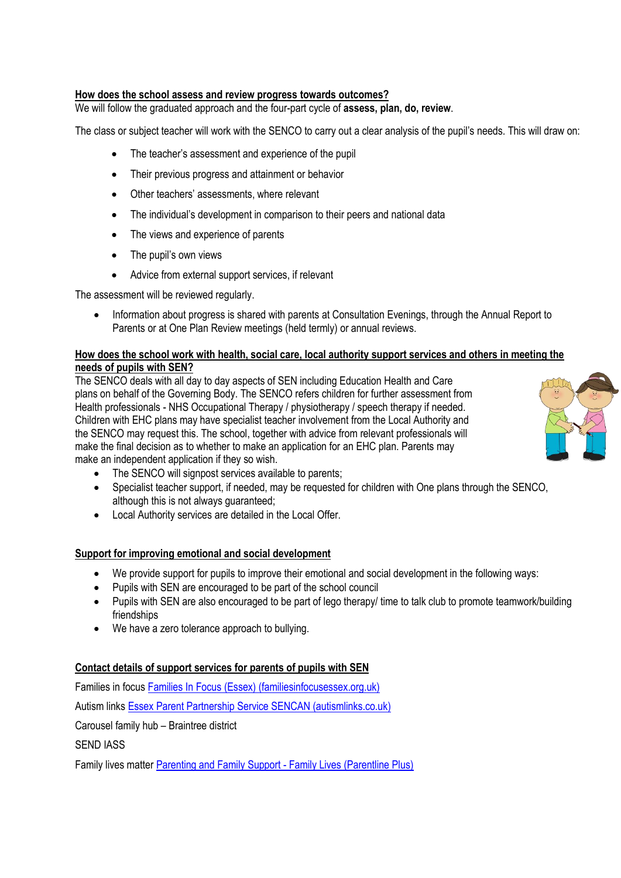#### <span id="page-4-0"></span>**How does the school assess and review progress towards outcomes?**

We will follow the graduated approach and the four-part cycle of **assess, plan, do, review**.

The class or subject teacher will work with the SENCO to carry out a clear analysis of the pupil's needs. This will draw on:

- The teacher's assessment and experience of the pupil
- Their previous progress and attainment or behavior
- Other teachers' assessments, where relevant
- The individual's development in comparison to their peers and national data
- The views and experience of parents
- The pupil's own views
- Advice from external support services, if relevant

The assessment will be reviewed regularly.

 Information about progress is shared with parents at Consultation Evenings, through the Annual Report to Parents or at One Plan Review meetings (held termly) or annual reviews.

#### <span id="page-4-1"></span>**How does the school work with health, social care, local authority support services and others in meeting the needs of pupils with SEN?**

The SENCO deals with all day to day aspects of SEN including Education Health and Care plans on behalf of the Governing Body. The SENCO refers children for further assessment from Health professionals - NHS Occupational Therapy / physiotherapy / speech therapy if needed. Children with EHC plans may have specialist teacher involvement from the Local Authority and the SENCO may request this. The school, together with advice from relevant professionals will make the final decision as to whether to make an application for an EHC plan. Parents may make an independent application if they so wish.



- Specialist teacher support, if needed, may be requested for children with One plans through the SENCO, although this is not always guaranteed;
- Local Authority services are detailed in the Local Offer.

## **Support for improving emotional and social development**

- We provide support for pupils to improve their emotional and social development in the following ways:
- Pupils with SEN are encouraged to be part of the school council
- Pupils with SEN are also encouraged to be part of lego therapy/ time to talk club to promote teamwork/building friendships
- We have a zero tolerance approach to bullying.

#### **Contact details of support services for parents of pupils with SEN**

Families in focu[s Families In Focus \(Essex\) \(familiesinfocusessex.org.uk\)](https://www.familiesinfocusessex.org.uk/)

Autism link[s Essex Parent Partnership Service SENCAN \(autismlinks.co.uk\)](https://www.autismlinks.co.uk/support-groups/group-support-east-of-england/essex-parent-partnership-service-sencan?region=East%20of%20England)

Carousel family hub – Braintree district

SEND IASS

Family lives matte[r Parenting and Family Support -](https://www.familylives.org.uk/) Family Lives (Parentline Plus)